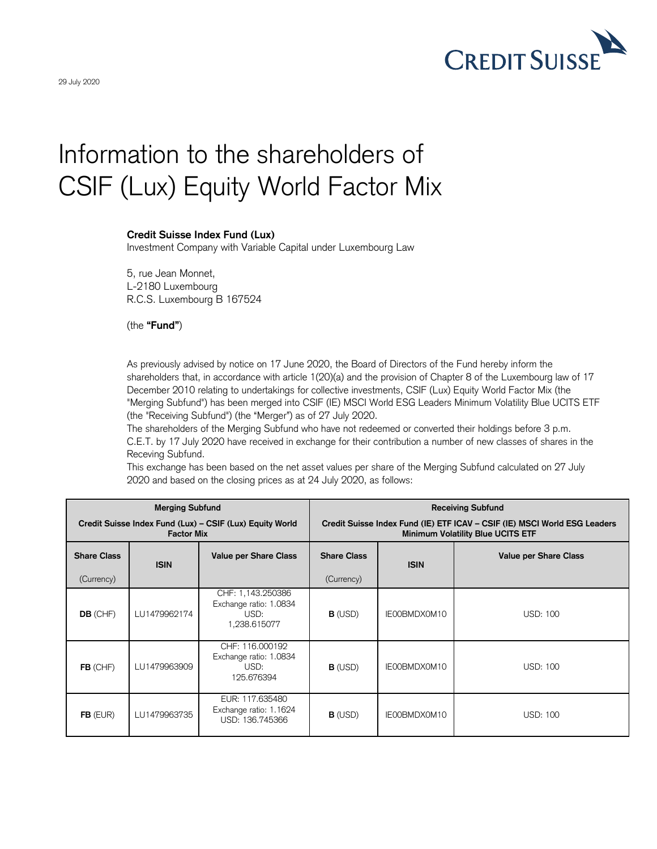

## Information to the shareholders of CSIF (Lux) Equity World Factor Mix

## **Credit Suisse Index Fund (Lux)**

Investment Company with Variable Capital under Luxembourg Law

5, rue Jean Monnet, L-2180 Luxembourg R.C.S. Luxembourg B 167524

(the **"Fund"**)

As previously advised by notice on 17 June 2020, the Board of Directors of the Fund hereby inform the shareholders that, in accordance with article 1(20)(a) and the provision of Chapter 8 of the Luxembourg law of 17 December 2010 relating to undertakings for collective investments, CSIF (Lux) Equity World Factor Mix (the "Merging Subfund") has been merged into CSIF (IE) MSCI World ESG Leaders Minimum Volatility Blue UCITS ETF (the "Receiving Subfund") (the "Merger") as of 27 July 2020.

The shareholders of the Merging Subfund who have not redeemed or converted their holdings before 3 p.m. C.E.T. by 17 July 2020 have received in exchange for their contribution a number of new classes of shares in the Receving Subfund.

This exchange has been based on the net asset values per share of the Merging Subfund calculated on 27 July 2020 and based on the closing prices as at 24 July 2020, as follows:

|                                                                               | <b>Merging Subfund</b> |                                                                     | <b>Receiving Subfund</b>                                                                                              |              |                              |
|-------------------------------------------------------------------------------|------------------------|---------------------------------------------------------------------|-----------------------------------------------------------------------------------------------------------------------|--------------|------------------------------|
| Credit Suisse Index Fund (Lux) – CSIF (Lux) Equity World<br><b>Factor Mix</b> |                        |                                                                     | Credit Suisse Index Fund (IE) ETF ICAV - CSIF (IE) MSCI World ESG Leaders<br><b>Minimum Volatility Blue UCITS ETF</b> |              |                              |
| <b>Share Class</b>                                                            | <b>ISIN</b>            | <b>Value per Share Class</b>                                        | <b>Share Class</b>                                                                                                    | <b>ISIN</b>  | <b>Value per Share Class</b> |
| (Currency)                                                                    |                        |                                                                     | (Currency)                                                                                                            |              |                              |
| <b>DB</b> (CHF)                                                               | LU1479962174           | CHF: 1,143.250386<br>Exchange ratio: 1.0834<br>USD:<br>1,238.615077 | <b>B</b> (USD)                                                                                                        | IE00BMDX0M10 | USD: 100                     |
| $FB$ (CHF)                                                                    | LU1479963909           | CHF: 116.000192<br>Exchange ratio: 1.0834<br>USD:<br>125.676394     | $B$ (USD)                                                                                                             | IE00BMDX0M10 | <b>USD: 100</b>              |
| $FB$ (EUR)                                                                    | LU1479963735           | EUR: 117,635480<br>Exchange ratio: 1.1624<br>USD: 136.745366        | $B$ (USD)                                                                                                             | IE00BMDX0M10 | <b>USD: 100</b>              |